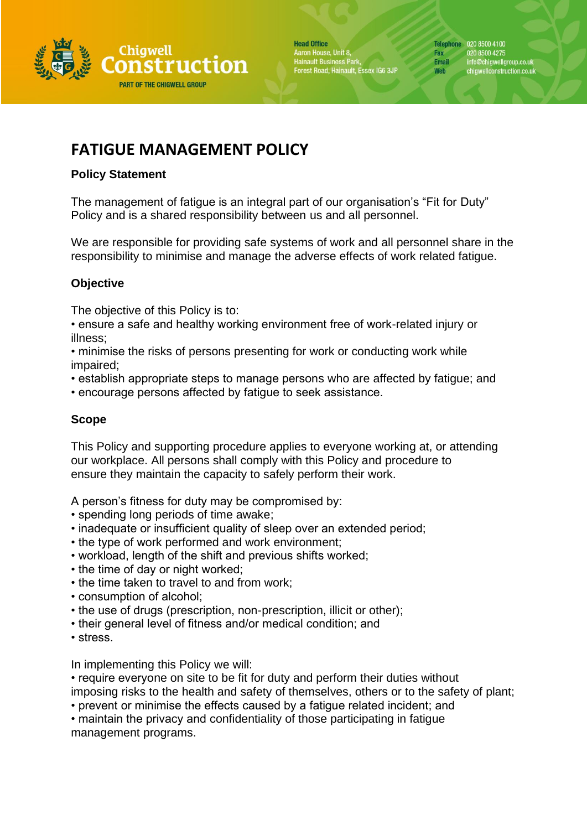

**Head Office** Aaron House, Unit 8, Hainault Business Park,<br>Forest Road, Hainault, Essex IG6 3JP

Telephone 020 8500 4100 Fax 020 8500 4275<br>
Email info@chigwellg info@chigwellgroup.co.uk<br>chigwellconstruction.co.uk Weh

# **FATIGUE MANAGEMENT POLICY**

# **Policy Statement**

The management of fatigue is an integral part of our organisation's "Fit for Duty" Policy and is a shared responsibility between us and all personnel.

We are responsible for providing safe systems of work and all personnel share in the responsibility to minimise and manage the adverse effects of work related fatigue.

# **Objective**

The objective of this Policy is to:

• ensure a safe and healthy working environment free of work-related injury or illness;

• minimise the risks of persons presenting for work or conducting work while impaired;

• establish appropriate steps to manage persons who are affected by fatigue; and

• encourage persons affected by fatigue to seek assistance.

## **Scope**

This Policy and supporting procedure applies to everyone working at, or attending our workplace. All persons shall comply with this Policy and procedure to ensure they maintain the capacity to safely perform their work.

A person's fitness for duty may be compromised by:

- spending long periods of time awake;
- inadequate or insufficient quality of sleep over an extended period;
- the type of work performed and work environment;
- workload, length of the shift and previous shifts worked;
- the time of day or night worked;
- the time taken to travel to and from work;
- consumption of alcohol;
- the use of drugs (prescription, non-prescription, illicit or other);
- their general level of fitness and/or medical condition; and
- stress.

In implementing this Policy we will:

• require everyone on site to be fit for duty and perform their duties without

imposing risks to the health and safety of themselves, others or to the safety of plant;

• prevent or minimise the effects caused by a fatigue related incident; and

• maintain the privacy and confidentiality of those participating in fatigue management programs.